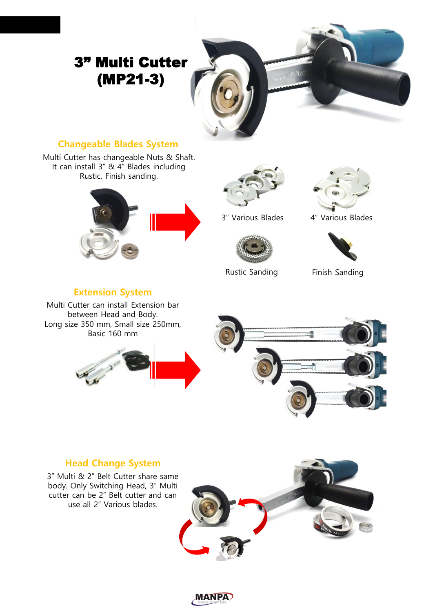

#### **Changeable Blades System**

Multi Cutter has changeable Nuts & Shaft. It can install 3" & 4" Blades including Rustic, Finish sanding.





3" Various Blades 4" Various Blades



#### **Extension System**

Multi Cutter can install Extension bar between Head and Body. Long size 350 mm, Small size 250mm, Basic 160 mm



#### **Head Change System**

3" Multi & 2" Belt Cutter share same body. Only Switching Head, 3" Multi cutter can be 2" Belt cutter and can use all 2" Various blades.



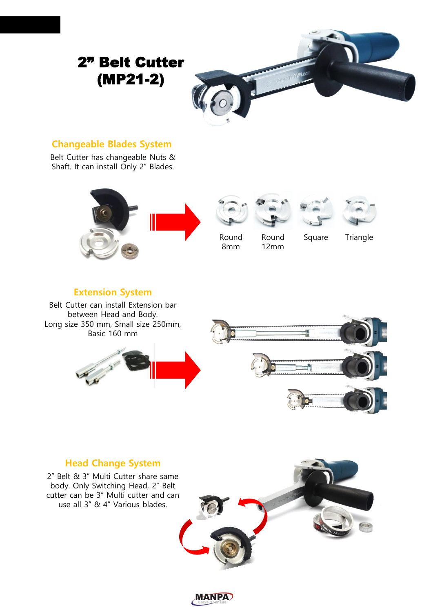

#### **Changeable Blades System**

Belt Cutter has changeable Nuts & Shaft. It can install Only 2" Blades.











Round 8mm Round 12mm

Square Triangle

#### **Extension System**

Belt Cutter can install Extension bar between Head and Body. Long size 350 mm, Small size 250mm, Basic 160 mm



#### **Head Change System**

2" Belt & 3" Multi Cutter share same body. Only Switching Head, 2" Belt cutter can be 3" Multi cutter and can use all 3" & 4" Various blades.



**MANPA**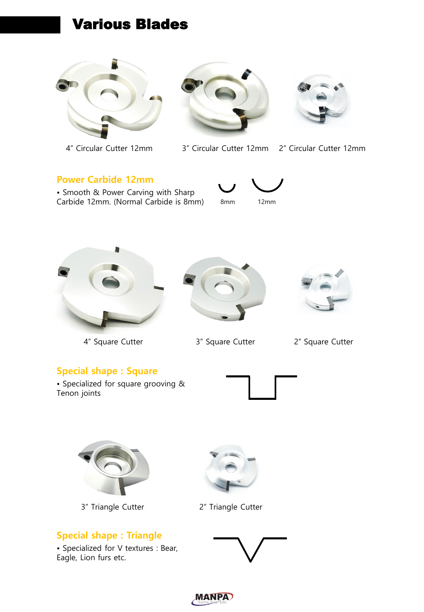# Various Blades







4" Circular Cutter 12mm 3" Circular Cutter 12mm 2" Circular Cutter 12mm

#### **Power Carbide 12mm**

• Smooth & Power Carving with Sharp Carbide 12mm. (Normal Carbide is 8mm)





4" Square Cutter 3" Square Cutter 2" Square Cutter



#### **Special shape : Square**

• Specialized for square grooving & Tenon joints





3" Triangle Cutter 2" Triangle Cutter

#### **Special shape : Triangle**

• Specialized for V textures : Bear, Eagle, Lion furs etc.





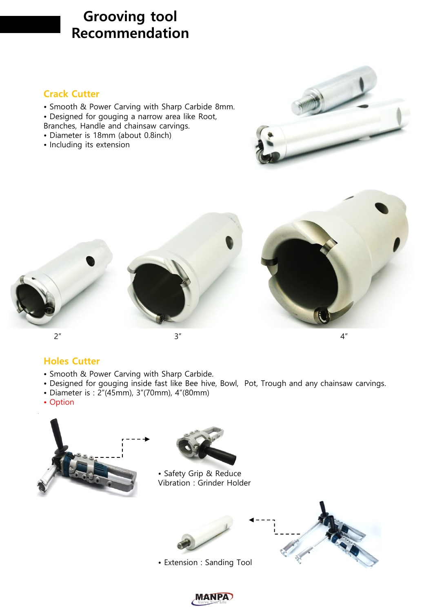# **Grooving tool Recommendation**

#### **Crack Cutter**

- Smooth & Power Carving with Sharp Carbide 8mm.
- Designed for gouging a narrow area like Root,
- Branches, Handle and chainsaw carvings.
- Diameter is 18mm (about 0.8inch)
- Including its extension





#### **Holes Cutter**

- Smooth & Power Carving with Sharp Carbide.
- Designed for gouging inside fast like Bee hive, Bowl, Pot, Trough and any chainsaw carvings.
- Diameter is : 2"(45mm), 3"(70mm), 4"(80mm)
- Option





• Safety Grip & Reduce Vibration : Grinder Holder



• Extension : Sanding Tool



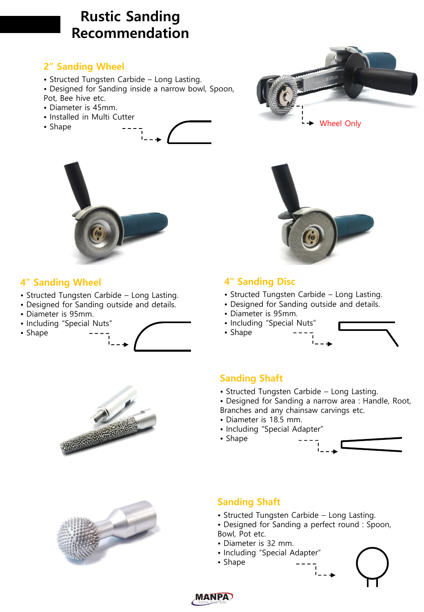# **Rustic Sanding Recommendation**

#### **2" Sanding Wheel**

- Structed Tungsten Carbide Long Lasting.
- Designed for Sanding inside a narrow bowl, Spoon,
- Pot, Bee hive etc.
- Diameter is 45mm.
- Installed in Multi Cutter
- Shape





#### **4" Sanding Wheel**

- Structed Tungsten Carbide Long Lasting.
- Designed for Sanding outside and details.
- Diameter is 95mm.
- Including "Special Nuts"
- Shape







# Wheel Only



#### **4" Sanding Disc**

- Structed Tungsten Carbide Long Lasting.
- Designed for Sanding outside and details.
- Diameter is 95mm.
- Including "Special Nuts"
- Shape

#### **Sanding Shaft**

- Structed Tungsten Carbide Long Lasting.
- Designed for Sanding a narrow area : Handle, Root, Branches and any chainsaw carvings etc.
- Diameter is 18.5 mm.
- Including "Special Adapter"
- Shape



### **Sanding Shaft**

- Structed Tungsten Carbide Long Lasting.
- Designed for Sanding a perfect round : Spoon,
- Bowl, Pot etc.
- Diameter is 32 mm.
- Including "Special Adapter"
- Shape



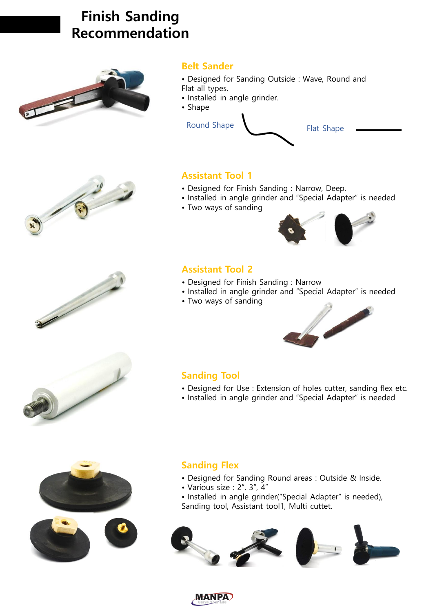# **Finish Sanding Recommendation**



#### **Belt Sander**

- Designed for Sanding Outside : Wave, Round and Flat all types.
- Installed in angle grinder.
- Shape



#### **Assistant Tool 1**

- Designed for Finish Sanding : Narrow, Deep.
- Installed in angle grinder and "Special Adapter" is needed
- Two ways of sanding



#### **Assistant Tool 2**

- Designed for Finish Sanding : Narrow
- Installed in angle grinder and "Special Adapter" is needed
- Two ways of sanding



#### **Sanding Tool**

- Designed for Use : Extension of holes cutter, sanding flex etc.
- Installed in angle grinder and "Special Adapter" is needed



- Designed for Sanding Round areas : Outside & Inside.
- Various size : 2". 3", 4"
- Installed in angle grinder("Special Adapter" is needed), Sanding tool, Assistant tool1, Multi cuttet.